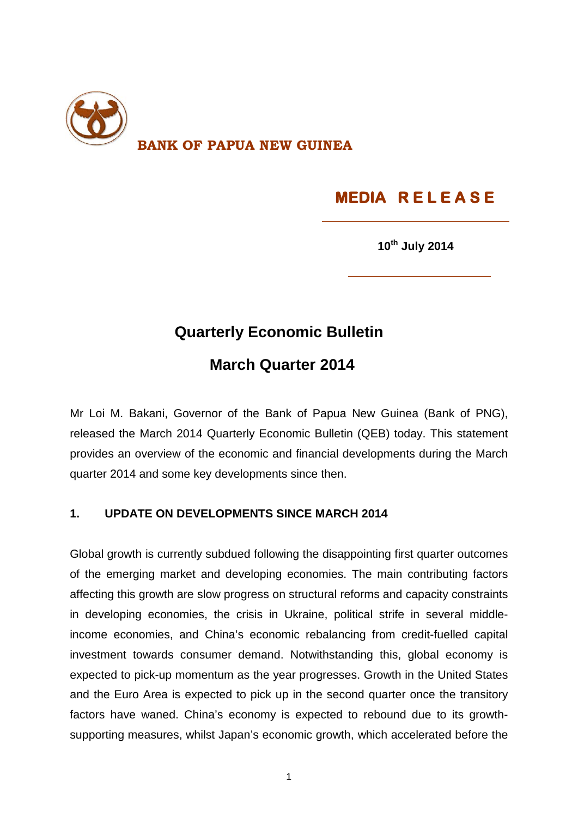

# **MEDIA R E L E A S E**

**10th July 2014**

### **Quarterly Economic Bulletin**

## **March Quarter 2014**

Mr Loi M. Bakani, Governor of the Bank of Papua New Guinea (Bank of PNG), released the March 2014 Quarterly Economic Bulletin (QEB) today. This statement provides an overview of the economic and financial developments during the March quarter 2014 and some key developments since then.

#### **1. UPDATE ON DEVELOPMENTS SINCE MARCH 2014**

Global growth is currently subdued following the disappointing first quarter outcomes of the emerging market and developing economies. The main contributing factors affecting this growth are slow progress on structural reforms and capacity constraints in developing economies, the crisis in Ukraine, political strife in several middleincome economies, and China's economic rebalancing from credit-fuelled capital investment towards consumer demand. Notwithstanding this, global economy is expected to pick-up momentum as the year progresses. Growth in the United States and the Euro Area is expected to pick up in the second quarter once the transitory factors have waned. China's economy is expected to rebound due to its growthsupporting measures, whilst Japan's economic growth, which accelerated before the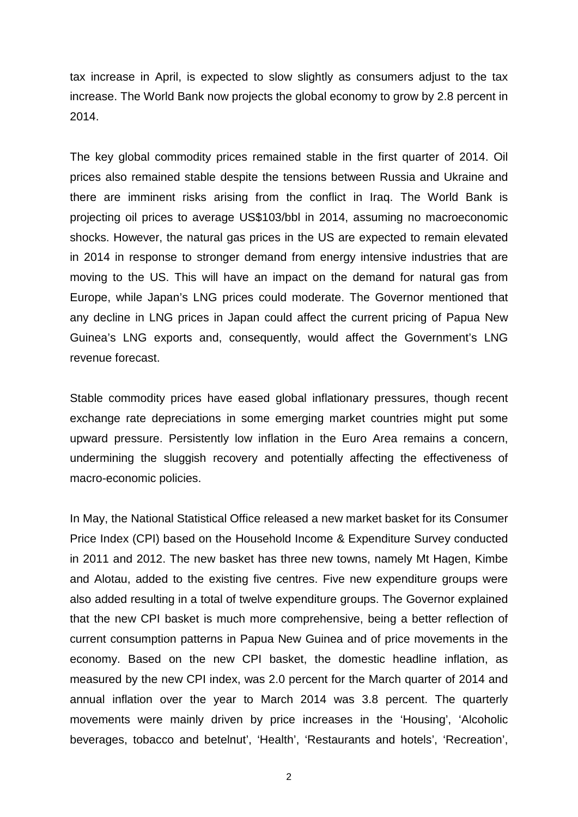tax increase in April, is expected to slow slightly as consumers adjust to the tax increase. The World Bank now projects the global economy to grow by 2.8 percent in 2014.

The key global commodity prices remained stable in the first quarter of 2014. Oil prices also remained stable despite the tensions between Russia and Ukraine and there are imminent risks arising from the conflict in Iraq. The World Bank is projecting oil prices to average US\$103/bbl in 2014, assuming no macroeconomic shocks. However, the natural gas prices in the US are expected to remain elevated in 2014 in response to stronger demand from energy intensive industries that are moving to the US. This will have an impact on the demand for natural gas from Europe, while Japan's LNG prices could moderate. The Governor mentioned that any decline in LNG prices in Japan could affect the current pricing of Papua New Guinea's LNG exports and, consequently, would affect the Government's LNG revenue forecast.

Stable commodity prices have eased global inflationary pressures, though recent exchange rate depreciations in some emerging market countries might put some upward pressure. Persistently low inflation in the Euro Area remains a concern, undermining the sluggish recovery and potentially affecting the effectiveness of macro-economic policies.

In May, the National Statistical Office released a new market basket for its Consumer Price Index (CPI) based on the Household Income & Expenditure Survey conducted in 2011 and 2012. The new basket has three new towns, namely Mt Hagen, Kimbe and Alotau, added to the existing five centres. Five new expenditure groups were also added resulting in a total of twelve expenditure groups. The Governor explained that the new CPI basket is much more comprehensive, being a better reflection of current consumption patterns in Papua New Guinea and of price movements in the economy. Based on the new CPI basket, the domestic headline inflation, as measured by the new CPI index, was 2.0 percent for the March quarter of 2014 and annual inflation over the year to March 2014 was 3.8 percent. The quarterly movements were mainly driven by price increases in the 'Housing', 'Alcoholic beverages, tobacco and betelnut', 'Health', 'Restaurants and hotels', 'Recreation',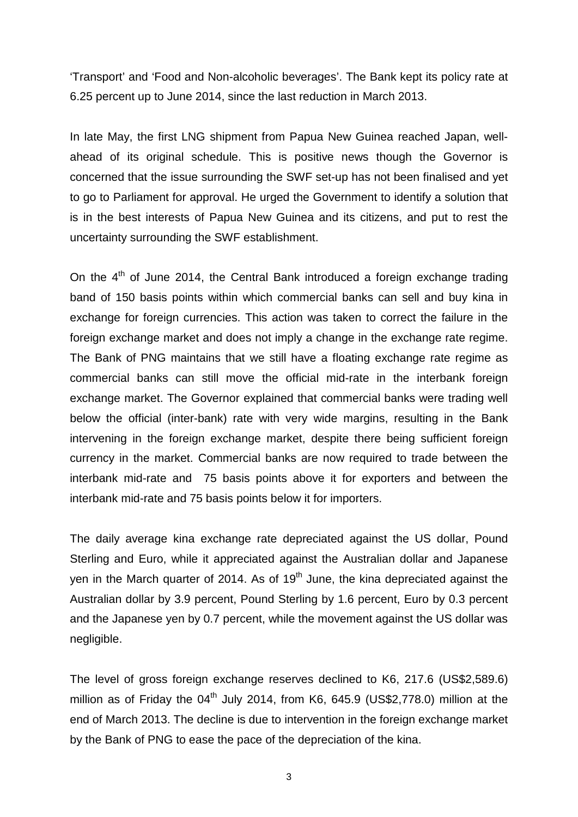'Transport' and 'Food and Non-alcoholic beverages'. The Bank kept its policy rate at 6.25 percent up to June 2014, since the last reduction in March 2013.

In late May, the first LNG shipment from Papua New Guinea reached Japan, wellahead of its original schedule. This is positive news though the Governor is concerned that the issue surrounding the SWF set-up has not been finalised and yet to go to Parliament for approval. He urged the Government to identify a solution that is in the best interests of Papua New Guinea and its citizens, and put to rest the uncertainty surrounding the SWF establishment.

On the  $4<sup>th</sup>$  of June 2014, the Central Bank introduced a foreign exchange trading band of 150 basis points within which commercial banks can sell and buy kina in exchange for foreign currencies. This action was taken to correct the failure in the foreign exchange market and does not imply a change in the exchange rate regime. The Bank of PNG maintains that we still have a floating exchange rate regime as commercial banks can still move the official mid-rate in the interbank foreign exchange market. The Governor explained that commercial banks were trading well below the official (inter-bank) rate with very wide margins, resulting in the Bank intervening in the foreign exchange market, despite there being sufficient foreign currency in the market. Commercial banks are now required to trade between the interbank mid-rate and 75 basis points above it for exporters and between the interbank mid-rate and 75 basis points below it for importers.

The daily average kina exchange rate depreciated against the US dollar, Pound Sterling and Euro, while it appreciated against the Australian dollar and Japanese yen in the March quarter of 2014. As of  $19<sup>th</sup>$  June, the kina depreciated against the Australian dollar by 3.9 percent, Pound Sterling by 1.6 percent, Euro by 0.3 percent and the Japanese yen by 0.7 percent, while the movement against the US dollar was negligible.

The level of gross foreign exchange reserves declined to K6, 217.6 (US\$2,589.6) million as of Friday the  $04<sup>th</sup>$  July 2014, from K6, 645.9 (US\$2,778.0) million at the end of March 2013. The decline is due to intervention in the foreign exchange market by the Bank of PNG to ease the pace of the depreciation of the kina.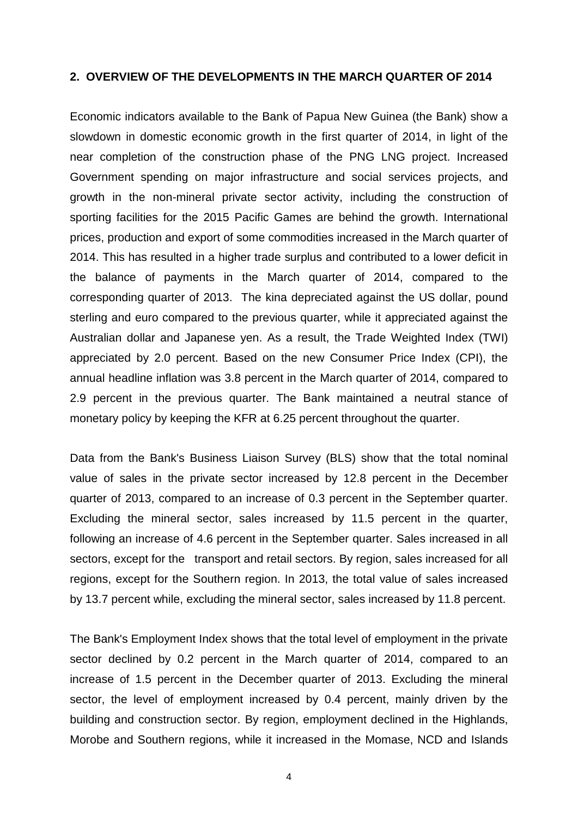#### **2. OVERVIEW OF THE DEVELOPMENTS IN THE MARCH QUARTER OF 2014**

Economic indicators available to the Bank of Papua New Guinea (the Bank) show a slowdown in domestic economic growth in the first quarter of 2014, in light of the near completion of the construction phase of the PNG LNG project. Increased Government spending on major infrastructure and social services projects, and growth in the non-mineral private sector activity, including the construction of sporting facilities for the 2015 Pacific Games are behind the growth. International prices, production and export of some commodities increased in the March quarter of 2014. This has resulted in a higher trade surplus and contributed to a lower deficit in the balance of payments in the March quarter of 2014, compared to the corresponding quarter of 2013. The kina depreciated against the US dollar, pound sterling and euro compared to the previous quarter, while it appreciated against the Australian dollar and Japanese yen. As a result, the Trade Weighted Index (TWI) appreciated by 2.0 percent. Based on the new Consumer Price Index (CPI), the annual headline inflation was 3.8 percent in the March quarter of 2014, compared to 2.9 percent in the previous quarter. The Bank maintained a neutral stance of monetary policy by keeping the KFR at 6.25 percent throughout the quarter.

Data from the Bank's Business Liaison Survey (BLS) show that the total nominal value of sales in the private sector increased by 12.8 percent in the December quarter of 2013, compared to an increase of 0.3 percent in the September quarter. Excluding the mineral sector, sales increased by 11.5 percent in the quarter, following an increase of 4.6 percent in the September quarter. Sales increased in all sectors, except for the transport and retail sectors. By region, sales increased for all regions, except for the Southern region. In 2013, the total value of sales increased by 13.7 percent while, excluding the mineral sector, sales increased by 11.8 percent.

The Bank's Employment Index shows that the total level of employment in the private sector declined by 0.2 percent in the March quarter of 2014, compared to an increase of 1.5 percent in the December quarter of 2013. Excluding the mineral sector, the level of employment increased by 0.4 percent, mainly driven by the building and construction sector. By region, employment declined in the Highlands, Morobe and Southern regions, while it increased in the Momase, NCD and Islands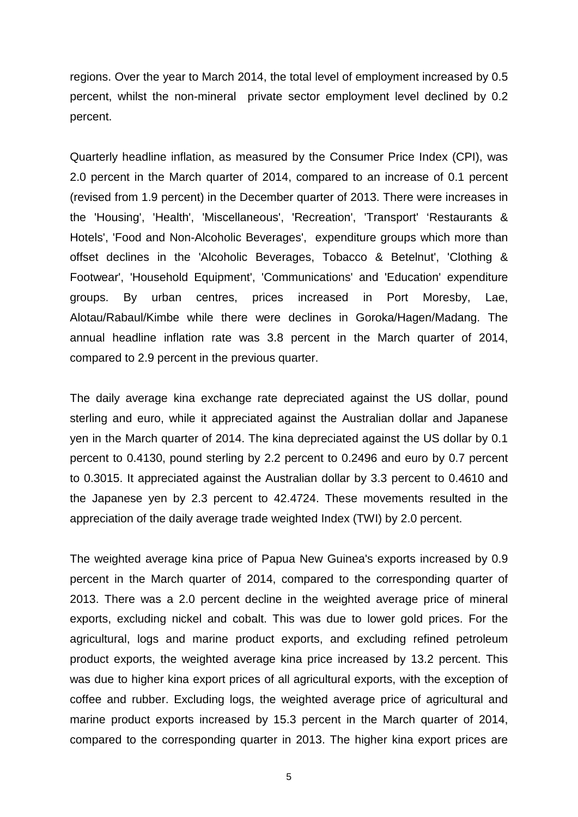regions. Over the year to March 2014, the total level of employment increased by 0.5 percent, whilst the non-mineral private sector employment level declined by 0.2 percent.

Quarterly headline inflation, as measured by the Consumer Price Index (CPI), was 2.0 percent in the March quarter of 2014, compared to an increase of 0.1 percent (revised from 1.9 percent) in the December quarter of 2013. There were increases in the 'Housing', 'Health', 'Miscellaneous', 'Recreation', 'Transport' 'Restaurants & Hotels', 'Food and Non-Alcoholic Beverages', expenditure groups which more than offset declines in the 'Alcoholic Beverages, Tobacco & Betelnut', 'Clothing & Footwear', 'Household Equipment', 'Communications' and 'Education' expenditure groups. By urban centres, prices increased in Port Moresby, Lae, Alotau/Rabaul/Kimbe while there were declines in Goroka/Hagen/Madang. The annual headline inflation rate was 3.8 percent in the March quarter of 2014, compared to 2.9 percent in the previous quarter.

The daily average kina exchange rate depreciated against the US dollar, pound sterling and euro, while it appreciated against the Australian dollar and Japanese yen in the March quarter of 2014. The kina depreciated against the US dollar by 0.1 percent to 0.4130, pound sterling by 2.2 percent to 0.2496 and euro by 0.7 percent to 0.3015. It appreciated against the Australian dollar by 3.3 percent to 0.4610 and the Japanese yen by 2.3 percent to 42.4724. These movements resulted in the appreciation of the daily average trade weighted Index (TWI) by 2.0 percent.

The weighted average kina price of Papua New Guinea's exports increased by 0.9 percent in the March quarter of 2014, compared to the corresponding quarter of 2013. There was a 2.0 percent decline in the weighted average price of mineral exports, excluding nickel and cobalt. This was due to lower gold prices. For the agricultural, logs and marine product exports, and excluding refined petroleum product exports, the weighted average kina price increased by 13.2 percent. This was due to higher kina export prices of all agricultural exports, with the exception of coffee and rubber. Excluding logs, the weighted average price of agricultural and marine product exports increased by 15.3 percent in the March quarter of 2014, compared to the corresponding quarter in 2013. The higher kina export prices are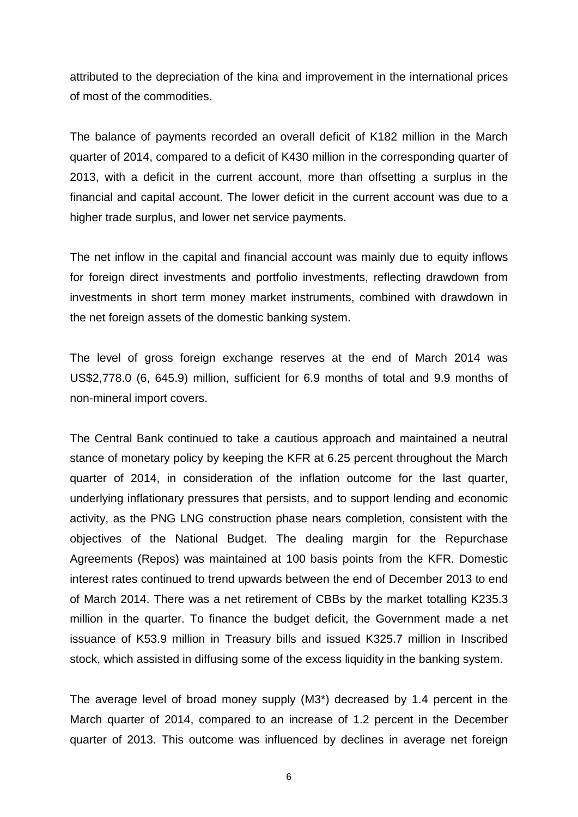attributed to the depreciation of the kina and improvement in the international prices of most of the commodities.

The balance of payments recorded an overall deficit of K182 million in the March quarter of 2014, compared to a deficit of K430 million in the corresponding quarter of 2013, with a deficit in the current account, more than offsetting a surplus in the financial and capital account. The lower deficit in the current account was due to a higher trade surplus, and lower net service payments.

The net inflow in the capital and financial account was mainly due to equity inflows for foreign direct investments and portfolio investments, reflecting drawdown from investments in short term money market instruments, combined with drawdown in the net foreign assets of the domestic banking system.

The level of gross foreign exchange reserves at the end of March 2014 was US\$2,778.0 (6, 645.9) million, sufficient for 6.9 months of total and 9.9 months of non-mineral import covers.

The Central Bank continued to take a cautious approach and maintained a neutral stance of monetary policy by keeping the KFR at 6.25 percent throughout the March quarter of 2014, in consideration of the inflation outcome for the last quarter, underlying inflationary pressures that persists, and to support lending and economic activity, as the PNG LNG construction phase nears completion, consistent with the objectives of the National Budget. The dealing margin for the Repurchase Agreements (Repos) was maintained at 100 basis points from the KFR. Domestic interest rates continued to trend upwards between the end of December 2013 to end of March 2014. There was a net retirement of CBBs by the market totalling K235.3 million in the quarter. To finance the budget deficit, the Government made a net issuance of K53.9 million in Treasury bills and issued K325.7 million in Inscribed stock, which assisted in diffusing some of the excess liquidity in the banking system.

The average level of broad money supply (M3\*) decreased by 1.4 percent in the March quarter of 2014, compared to an increase of 1.2 percent in the December quarter of 2013. This outcome was influenced by declines in average net foreign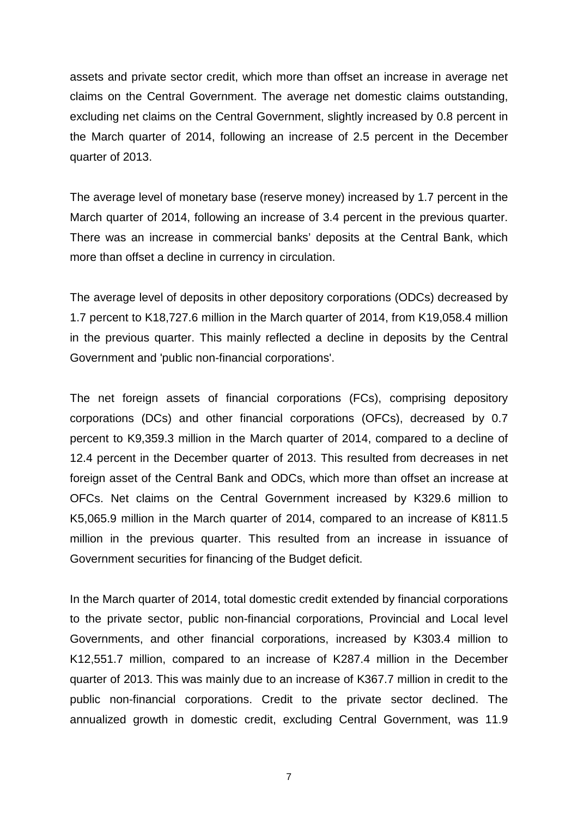assets and private sector credit, which more than offset an increase in average net claims on the Central Government. The average net domestic claims outstanding, excluding net claims on the Central Government, slightly increased by 0.8 percent in the March quarter of 2014, following an increase of 2.5 percent in the December quarter of 2013.

The average level of monetary base (reserve money) increased by 1.7 percent in the March quarter of 2014, following an increase of 3.4 percent in the previous quarter. There was an increase in commercial banks' deposits at the Central Bank, which more than offset a decline in currency in circulation.

The average level of deposits in other depository corporations (ODCs) decreased by 1.7 percent to K18,727.6 million in the March quarter of 2014, from K19,058.4 million in the previous quarter. This mainly reflected a decline in deposits by the Central Government and 'public non-financial corporations'.

The net foreign assets of financial corporations (FCs), comprising depository corporations (DCs) and other financial corporations (OFCs), decreased by 0.7 percent to K9,359.3 million in the March quarter of 2014, compared to a decline of 12.4 percent in the December quarter of 2013. This resulted from decreases in net foreign asset of the Central Bank and ODCs, which more than offset an increase at OFCs. Net claims on the Central Government increased by K329.6 million to K5,065.9 million in the March quarter of 2014, compared to an increase of K811.5 million in the previous quarter. This resulted from an increase in issuance of Government securities for financing of the Budget deficit.

In the March quarter of 2014, total domestic credit extended by financial corporations to the private sector, public non-financial corporations, Provincial and Local level Governments, and other financial corporations, increased by K303.4 million to K12,551.7 million, compared to an increase of K287.4 million in the December quarter of 2013. This was mainly due to an increase of K367.7 million in credit to the public non-financial corporations. Credit to the private sector declined. The annualized growth in domestic credit, excluding Central Government, was 11.9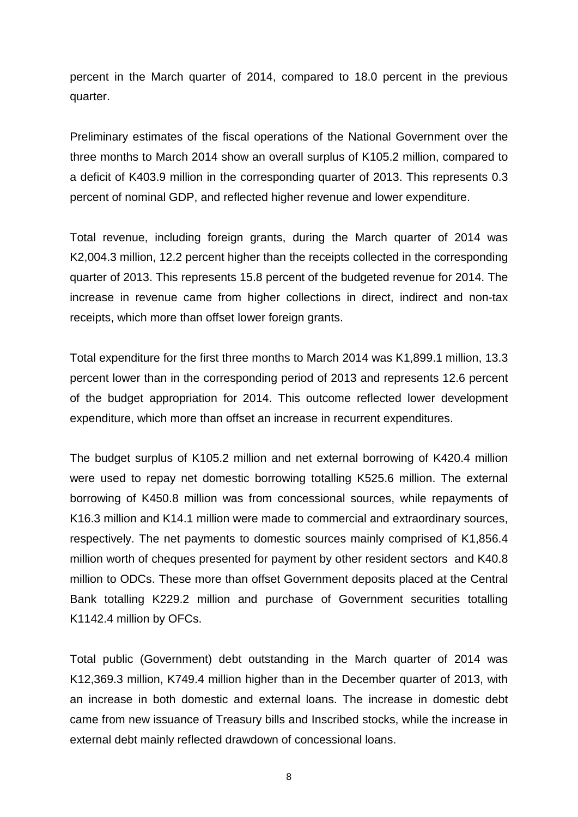percent in the March quarter of 2014, compared to 18.0 percent in the previous quarter.

Preliminary estimates of the fiscal operations of the National Government over the three months to March 2014 show an overall surplus of K105.2 million, compared to a deficit of K403.9 million in the corresponding quarter of 2013. This represents 0.3 percent of nominal GDP, and reflected higher revenue and lower expenditure.

Total revenue, including foreign grants, during the March quarter of 2014 was K2,004.3 million, 12.2 percent higher than the receipts collected in the corresponding quarter of 2013. This represents 15.8 percent of the budgeted revenue for 2014. The increase in revenue came from higher collections in direct, indirect and non-tax receipts, which more than offset lower foreign grants.

Total expenditure for the first three months to March 2014 was K1,899.1 million, 13.3 percent lower than in the corresponding period of 2013 and represents 12.6 percent of the budget appropriation for 2014. This outcome reflected lower development expenditure, which more than offset an increase in recurrent expenditures.

The budget surplus of K105.2 million and net external borrowing of K420.4 million were used to repay net domestic borrowing totalling K525.6 million. The external borrowing of K450.8 million was from concessional sources, while repayments of K16.3 million and K14.1 million were made to commercial and extraordinary sources, respectively. The net payments to domestic sources mainly comprised of K1,856.4 million worth of cheques presented for payment by other resident sectors and K40.8 million to ODCs. These more than offset Government deposits placed at the Central Bank totalling K229.2 million and purchase of Government securities totalling K1142.4 million by OFCs.

Total public (Government) debt outstanding in the March quarter of 2014 was K12,369.3 million, K749.4 million higher than in the December quarter of 2013, with an increase in both domestic and external loans. The increase in domestic debt came from new issuance of Treasury bills and Inscribed stocks, while the increase in external debt mainly reflected drawdown of concessional loans.